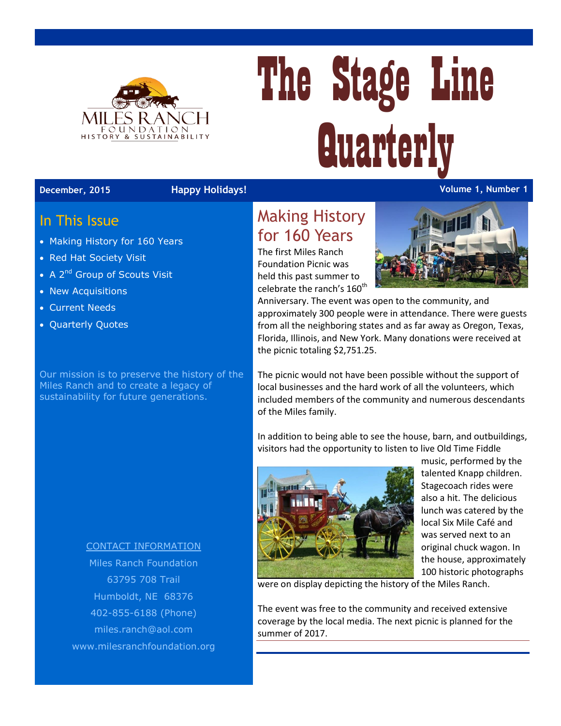

# The Stage Line **Quarterly**

#### **December, 2015 Happy Holidays! Volume 1, Number 1**

#### In This Issue

- Making History for 160 Years
- Red Hat Society Visit
- A 2<sup>nd</sup> Group of Scouts Visit
- New Acquisitions
- Current Needs
- Quarterly Quotes

Our mission is to preserve the history of the Miles Ranch and to create a legacy of sustainability for future generations.

> CONTACT INFORMATION Miles Ranch Foundation 63795 708 Trail Humboldt, NE 68376 402-855-6188 (Phone) [miles.ranch@aol.com](mailto:miles.ranch@aol.com) www.milesranchfoundation.org

### Making History for 160 Years

The first Miles Ranch Foundation Picnic was held this past summer to celebrate the ranch's 160<sup>th</sup>



Anniversary. The event was open to the community, and approximately 300 people were in attendance. There were guests from all the neighboring states and as far away as Oregon, Texas, Florida, Illinois, and New York. Many donations were received at the picnic totaling \$2,751.25.

The picnic would not have been possible without the support of local businesses and the hard work of all the volunteers, which included members of the community and numerous descendants of the Miles family.

In addition to being able to see the house, barn, and outbuildings, visitors had the opportunity to listen to live Old Time Fiddle



music, performed by the talented Knapp children. Stagecoach rides were also a hit. The delicious lunch was catered by the local Six Mile Café and was served next to an original chuck wagon. In the house, approximately 100 historic photographs

were on display depicting the history of the Miles Ranch.

The event was free to the community and received extensive coverage by the local media. The next picnic is planned for the summer of 2017.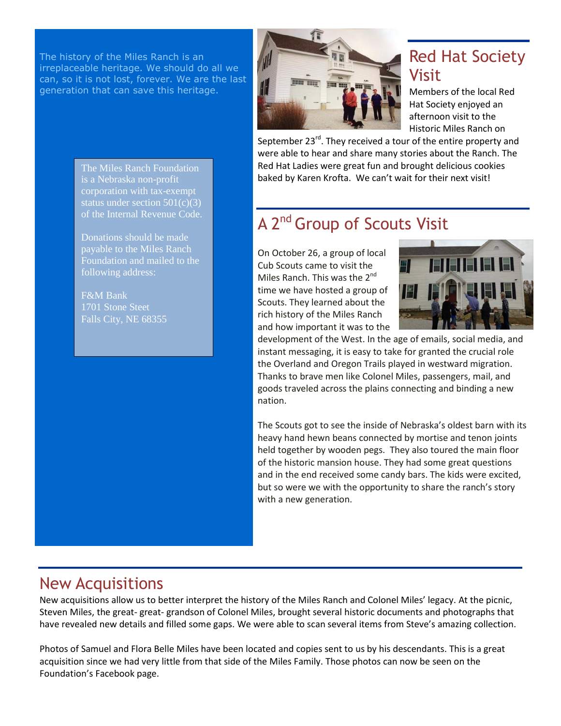The history of the Miles Ranch is an irreplaceable heritage. We should do all we can, so it is not lost, forever. We are the last generation that can save this heritage.



# Red Hat Society Visit

Members of the local Red Hat Society enjoyed an afternoon visit to the Historic Miles Ranch on

September 23<sup>rd</sup>. They received a tour of the entire property and were able to hear and share many stories about the Ranch. The Red Hat Ladies were great fun and brought delicious cookies baked by Karen Krofta. We can't wait for their next visit!

## A 2<sup>nd</sup> Group of Scouts Visit

On October 26, a group of local Cub Scouts came to visit the Miles Ranch. This was the 2<sup>nd</sup> time we have hosted a group of Scouts. They learned about the rich history of the Miles Ranch and how important it was to the



development of the West. In the age of emails, social media, and instant messaging, it is easy to take for granted the crucial role the Overland and Oregon Trails played in westward migration. Thanks to brave men like Colonel Miles, passengers, mail, and goods traveled across the plains connecting and binding a new nation.

The Scouts got to see the inside of Nebraska's oldest barn with its heavy hand hewn beans connected by mortise and tenon joints held together by wooden pegs. They also toured the main floor of the historic mansion house. They had some great questions and in the end received some candy bars. The kids were excited, but so were we with the opportunity to share the ranch's story with a new generation.

#### New Acquisitions

New acquisitions allow us to better interpret the history of the Miles Ranch and Colonel Miles' legacy. At the picnic, Steven Miles, the great- great- grandson of Colonel Miles, brought several historic documents and photographs that have revealed new details and filled some gaps. We were able to scan several items from Steve's amazing collection.

Photos of Samuel and Flora Belle Miles have been located and copies sent to us by his descendants. This is a great acquisition since we had very little from that side of the Miles Family. Those photos can now be seen on the Foundation's Facebook page.

The Miles Ranch Foundation is a Nebraska non-profit corporation with tax-exempt status under section 501(c)(3) of the Internal Revenue Code.

Donations should be made payable to the Miles Ranch following address:

F&M Bank 1701 Stone Steet Falls City, NE 68355